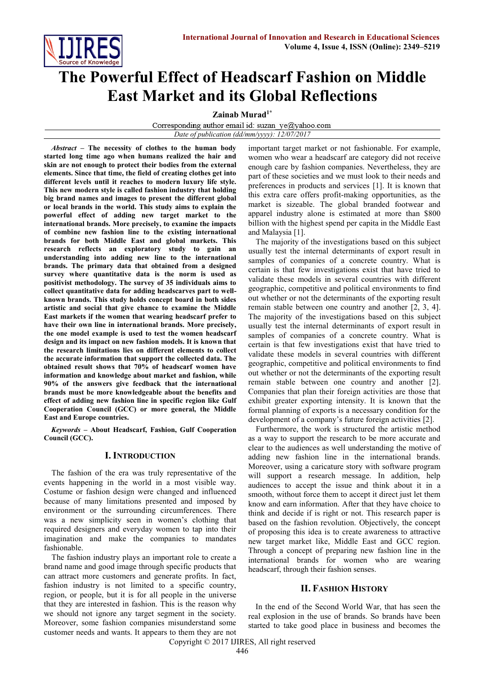

# **The Powerful Effect of Headscarf Fashion on Middle East Market and its Global Reflections**

**Zainab Murad1\***

Corresponding author email id: suzan ye@yahoo.com *Date of publication (dd/mm/yyyy): 12/07/2017*

*Abstract* **– The necessity of clothes to the human body started long time ago when humans realized the hair and skin are not enough to protect their bodies from the external elements. Since that time, the field of creating clothes get into different levels until it reaches to modern luxury life style. This new modern style is called fashion industry that holding big brand names and images to present the different global or local brands in the world. This study aims to explain the powerful effect of adding new target market to the international brands. More precisely, to examine the impacts of combine new fashion line to the existing international brands for both Middle East and global markets. This research reflects an exploratory study to gain an understanding into adding new line to the international brands. The primary data that obtained from a designed survey where quantitative data is the norm is used as positivist methodology. The survey of 35 individuals aims to collect quantitative data for adding headscarves part to wellknown brands. This study holds concept board in both sides artistic and social that give chance to examine the Middle East markets if the women that wearing headscarf prefer to have their own line in international brands. More precisely, the one model example is used to test the women headscarf design and its impact on new fashion models. It is known that the research limitations lies on different elements to collect the accurate information that support the collected data. The obtained result shows that 70% of headscarf women have information and knowledge about market and fashion, while 90% of the answers give feedback that the international brands must be more knowledgeable about the benefits and effect of adding new fashion line in specific region like Gulf Cooperation Council (GCC) or more general, the Middle East and Europe countries.**

*Keywords* **– About Headscarf, Fashion, Gulf Cooperation Council (GCC).** 

# **I. INTRODUCTION**

The fashion of the era was truly representative of the events happening in the world in a most visible way. Costume or fashion design were changed and influenced because of many limitations presented and imposed by environment or the surrounding circumferences. There was a new simplicity seen in women's clothing that required designers and everyday women to tap into their imagination and make the companies to mandates fashionable.

The fashion industry plays an important role to create a brand name and good image through specific products that can attract more customers and generate profits. In fact, fashion industry is not limited to a specific country, region, or people, but it is for all people in the universe that they are interested in fashion. This is the reason why we should not ignore any target segment in the society. Moreover, some fashion companies misunderstand some customer needs and wants. It appears to them they are not

important target market or not fashionable. For example, women who wear a headscarf are category did not receive enough care by fashion companies. Nevertheless, they are part of these societies and we must look to their needs and preferences in products and services [1]. It is known that this extra care offers profit-making opportunities, as the market is sizeable. The global branded footwear and apparel industry alone is estimated at more than \$800 billion with the highest spend per capita in the Middle East and Malaysia [1].

The majority of the investigations based on this subject usually test the internal determinants of export result in samples of companies of a concrete country. What is certain is that few investigations exist that have tried to validate these models in several countries with different geographic, competitive and political environments to find out whether or not the determinants of the exporting result remain stable between one country and another [2, 3, 4]. The majority of the investigations based on this subject usually test the internal determinants of export result in samples of companies of a concrete country. What is certain is that few investigations exist that have tried to validate these models in several countries with different geographic, competitive and political environments to find out whether or not the determinants of the exporting result remain stable between one country and another [2]. Companies that plan their foreign activities are those that exhibit greater exporting intensity. It is known that the formal planning of exports is a necessary condition for the development of a company's future foreign activities [2].

Furthermore, the work is structured the artistic method as a way to support the research to be more accurate and clear to the audiences as well understanding the motive of adding new fashion line in the international brands. Moreover, using a caricature story with software program will support a research message. In addition, help audiences to accept the issue and think about it in a smooth, without force them to accept it direct just let them know and earn information. After that they have choice to think and decide if is right or not. This research paper is based on the fashion revolution. Objectively, the concept of proposing this idea is to create awareness to attractive new target market like, Middle East and GCC region. Through a concept of preparing new fashion line in the international brands for women who are wearing headscarf, through their fashion senses.

# **II. FASHION HISTORY**

In the end of the Second World War, that has seen the real explosion in the use of brands. So brands have been started to take good place in business and becomes the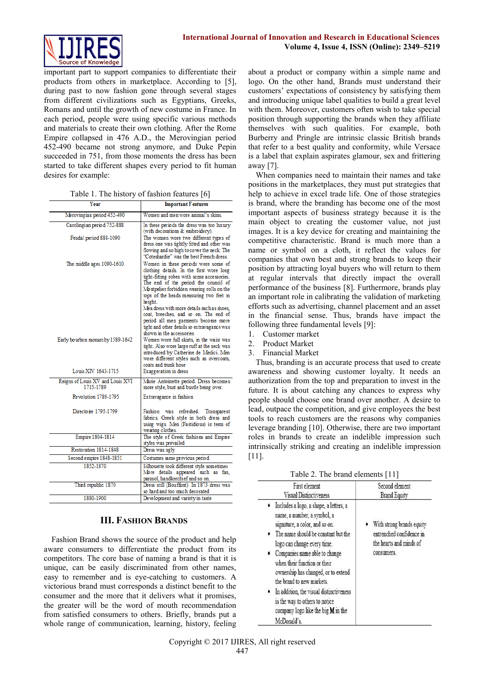

important part to support companies to differentiate their products from others in marketplace. According to [5], during past to now fashion gone through several stages from different civilizations such as Egyptians, Greeks, Romans and until the growth of new costume in France. In each period, people were using specific various methods and materials to create their own clothing. After the Rome Empire collapsed in 476 A.D., the Merovingian period 452-490 became not strong anymore, and Duke Pepin succeeded in 751, from those moments the dress has been started to take different shapes every period to fit human desires for example:

|  |  |  | Table 1. The history of fashion features [6] |  |  |  |
|--|--|--|----------------------------------------------|--|--|--|
|--|--|--|----------------------------------------------|--|--|--|

| Year                                          | <b>Important Features</b>                                                                                                                                                                                                                                                                                                                                                                                                                                                         |  |
|-----------------------------------------------|-----------------------------------------------------------------------------------------------------------------------------------------------------------------------------------------------------------------------------------------------------------------------------------------------------------------------------------------------------------------------------------------------------------------------------------------------------------------------------------|--|
| Merovingian period 452-490                    | Women and men wore animal's skins.                                                                                                                                                                                                                                                                                                                                                                                                                                                |  |
| Carolingian period 752-888                    | In these periods the dress was too luxury<br>(with decorations & embroidery).                                                                                                                                                                                                                                                                                                                                                                                                     |  |
| Feudal period 888-1090                        | The women wore two different types of<br>dress one was tightly fitted and other was<br>flowing and so high to cover the neck. The<br>"Coteshardie" was the best French dress.                                                                                                                                                                                                                                                                                                     |  |
| The middle ages 1090-1610                     | Women in these periods wore some of<br>clothing details. In the first wore long<br>tight-fitting robes with some accessories.<br>The end of the period the council of<br>Montpelier forbidden wearing rolls on the<br>tops of the heads measuring two feet in<br>height.<br>Men dress with more details such as shoes.<br>coat, breeches, and so on. The end of<br>period all men garments become more<br>tight and other details so extravagance was<br>shown in the accessories |  |
| Early bourbon monarchy 1589-1642              | Women wore full skirts, in the waist was<br>tight. Also wore large ruff at the neck was<br>introduced by Catherine de Medici. Men<br>wore different styles such as overcoats,<br>coats and trunk hose                                                                                                                                                                                                                                                                             |  |
| Louis XIV 1643-1715                           | Exaggeration in dress                                                                                                                                                                                                                                                                                                                                                                                                                                                             |  |
| Reigns of Louis XV and Louis XVI<br>1715-1789 | Marie Antoinette period. Dress becomes<br>more style, bust and bustle being over.                                                                                                                                                                                                                                                                                                                                                                                                 |  |
| Revolution 1789-1795                          | Extravagance in fashion                                                                                                                                                                                                                                                                                                                                                                                                                                                           |  |
| Directoire 1795-1799                          | Fashion was<br>refreshed.<br>Transparent<br>fabrics. Greek style in both dress and<br>using wigs. Men (Fastidious) in term of<br>wearing clothes.                                                                                                                                                                                                                                                                                                                                 |  |
| Empire 1804-1814                              | The style of Greek fashions and Empire<br>styles was prevailed                                                                                                                                                                                                                                                                                                                                                                                                                    |  |
| Restoration 1814-1848                         | Dress was ugly                                                                                                                                                                                                                                                                                                                                                                                                                                                                    |  |
| Second empire 1848-1851                       | Costumes same previous period                                                                                                                                                                                                                                                                                                                                                                                                                                                     |  |
| 1852-1870                                     | Silhouette took different style sometimes<br>More details appeared such as fan,<br>parasol, handkerchief and so on.                                                                                                                                                                                                                                                                                                                                                               |  |
| Third republic 1870                           | Dress still (Bouffant). In 1873 dress was<br>so hard and too much decorated                                                                                                                                                                                                                                                                                                                                                                                                       |  |
| 1880-1900                                     | Development and variety in taste                                                                                                                                                                                                                                                                                                                                                                                                                                                  |  |

# **III. FASHION BRANDS**

Fashion Brand shows the source of the product and help aware consumers to differentiate the product from its competitors. The core base of naming a brand is that it is unique, can be easily discriminated from other names, easy to remember and is eye-catching to customers. A victorious brand must corresponds a distinct benefit to the consumer and the more that it delivers what it promises, the greater will be the word of mouth recommendation from satisfied consumers to others. Briefly, brands put a whole range of communication, learning, history, feeling about a product or company within a simple name and logo. On the other hand, Brands must understand their customers' expectations of consistency by satisfying them and introducing unique label qualities to build a great level with them. Moreover, customers often wish to take special position through supporting the brands when they affiliate themselves with such qualities. For example, both Burberry and Pringle are intrinsic classic British brands that refer to a best quality and conformity, while Versace is a label that explain aspirates glamour, sex and frittering away [7].

When companies need to maintain their names and take positions in the marketplaces, they must put strategies that help to achieve in excel trade life. One of those strategies is brand, where the branding has become one of the most important aspects of business strategy because it is the main object to creating the customer value, not just images. It is a key device for creating and maintaining the competitive characteristic. Brand is much more than a name or symbol on a cloth, it reflect the values for companies that own best and strong brands to keep their position by attracting loyal buyers who will return to them at regular intervals that directly impact the overall performance of the business [8]. Furthermore, brands play an important role in calibrating the validation of marketing efforts such as advertising, channel placement and an asset in the financial sense. Thus, brands have impact the following three fundamental levels [9]:

- 1. Customer market
- 2. Product Market
- 3. Financial Market

Thus, branding is an accurate process that used to create awareness and showing customer loyalty. It needs an authorization from the top and preparation to invest in the future. It is about catching any chances to express why people should choose one brand over another. A desire to lead, outpace the competition, and give employees the best tools to reach customers are the reasons why companies leverage branding [10]. Otherwise, there are two important roles in brands to create an indelible impression such intrinsically striking and creating an indelible impression [11].

| First element                                                                                                                                                                                                                                                                                                                                                                                                                                              | Second element                                                                                 |
|------------------------------------------------------------------------------------------------------------------------------------------------------------------------------------------------------------------------------------------------------------------------------------------------------------------------------------------------------------------------------------------------------------------------------------------------------------|------------------------------------------------------------------------------------------------|
| <b>Visual Distinctiveness</b>                                                                                                                                                                                                                                                                                                                                                                                                                              | <b>Brand Equity</b>                                                                            |
| Includes a logo, a shape, a letters, a<br>name, a number, a symbol, a<br>signature, a color, and so on.<br>The name should be constant but the<br>logo can change every time.<br>Companies name able to change<br>۰<br>when their function or their<br>ownership has changed, or to extend<br>the brand to new markets.<br>In addition, the visual distinctiveness<br>is the way to others to notice<br>company logo like the big $M$ in the<br>McDonald's | With strong brands equity<br>entrenched confidence in<br>the hearts and minds of<br>consumers. |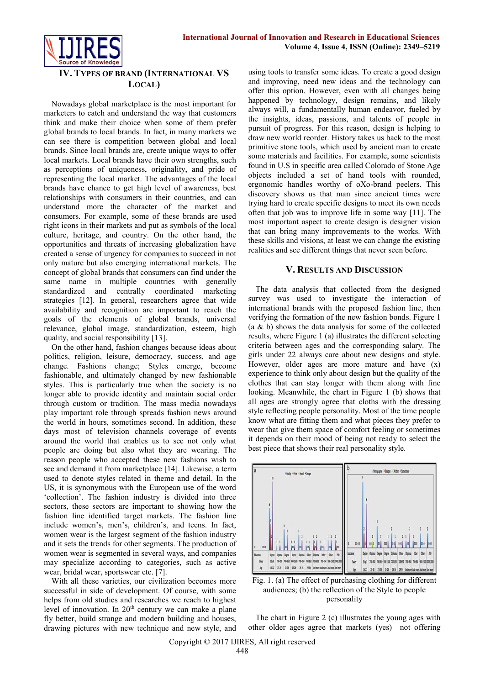



# **IV. TYPES OF BRAND (INTERNATIONAL VS LOCAL)**

Nowadays global marketplace is the most important for marketers to catch and understand the way that customers think and make their choice when some of them prefer global brands to local brands. In fact, in many markets we can see there is competition between global and local brands. Since local brands are, create unique ways to offer local markets. Local brands have their own strengths, such as perceptions of uniqueness, originality, and pride of representing the local market. The advantages of the local brands have chance to get high level of awareness, best relationships with consumers in their countries, and can understand more the character of the market and consumers. For example, some of these brands are used right icons in their markets and put as symbols of the local culture, heritage, and country. On the other hand, the opportunities and threats of increasing globalization have created a sense of urgency for companies to succeed in not only mature but also emerging international markets. The concept of global brands that consumers can find under the same name in multiple countries with generally standardized and centrally coordinated marketing strategies [12]. In general, researchers agree that wide availability and recognition are important to reach the goals of the elements of global brands, universal relevance, global image, standardization, esteem, high quality, and social responsibility [13].

On the other hand, fashion changes because ideas about politics, religion, leisure, democracy, success, and age change. Fashions change; Styles emerge, become fashionable, and ultimately changed by new fashionable styles. This is particularly true when the society is no longer able to provide identity and maintain social order through custom or tradition. The mass media nowadays play important role through spreads fashion news around the world in hours, sometimes second. In addition, these days most of television channels coverage of events around the world that enables us to see not only what people are doing but also what they are wearing. The reason people who accepted these new fashions wish to see and demand it from marketplace [14]. Likewise, a term used to denote styles related in theme and detail. In the US, it is synonymous with the European use of the word 'collection'. The fashion industry is divided into three sectors, these sectors are important to showing how the fashion line identified target markets. The fashion line include women's, men's, children's, and teens. In fact, women wear is the largest segment of the fashion industry and it sets the trends for other segments. The production of women wear is segmented in several ways, and companies may specialize according to categories, such as active wear, bridal wear, sportswear etc. [7].

With all these varieties, our civilization becomes more successful in side of development. Of course, with some helps from old studies and researches we reach to highest level of innovation. In  $20<sup>th</sup>$  century we can make a plane fly better, build strange and modern building and houses, drawing pictures with new technique and new style, and using tools to transfer some ideas. To create a good design and improving, need new ideas and the technology can offer this option. However, even with all changes being happened by technology, design remains, and likely always will, a fundamentally human endeavor, fueled by the insights, ideas, passions, and talents of people in pursuit of progress. For this reason, design is helping to draw new world reorder. History takes us back to the most primitive stone tools, which used by ancient man to create some materials and facilities. For example, some scientists found in U.S in specific area called Colorado of Stone Age objects included a set of hand tools with rounded, ergonomic handles worthy of oXo-brand peelers. This discovery shows us that man since ancient times were trying hard to create specific designs to meet its own needs often that job was to improve life in some way [11]. The most important aspect to create design is designer vision that can bring many improvements to the works. With these skills and visions, at least we can change the existing realities and see different things that never seen before.

# **V. RESULTS AND DISCUSSION**

The data analysis that collected from the designed survey was used to investigate the interaction of international brands with the proposed fashion line, then verifying the formation of the new fashion bonds. Figure 1  $(a \& b)$  shows the data analysis for some of the collected results, where Figure 1 (a) illustrates the different selecting criteria between ages and the corresponding salary. The girls under 22 always care about new designs and style. However, older ages are more mature and have (x) experience to think only about design but the quality of the clothes that can stay longer with them along with fine looking. Meanwhile, the chart in Figure 1 (b) shows that all ages are strongly agree that cloths with the dressing style reflecting people personality. Most of the time people know what are fitting them and what pieces they prefer to wear that give them space of comfort feeling or sometimes it depends on their mood of being not ready to select the best piece that shows their real personality style.



Fig. 1. (a) The effect of purchasing clothing for different audiences; (b) the reflection of the Style to people personality

The chart in Figure 2 (c) illustrates the young ages with other older ages agree that markets (yes) not offering

Copyright © 2017 IJIRES, All right reserved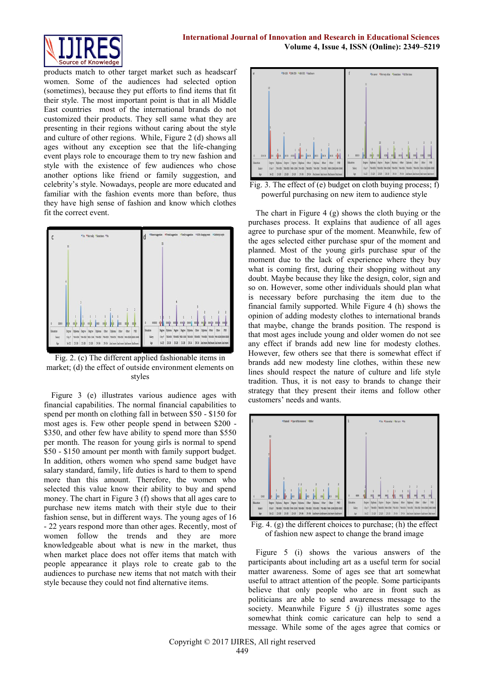

products match to other target market such as headscarf women. Some of the audiences had selected option (sometimes), because they put efforts to find items that fit their style. The most important point is that in all Middle East countries most of the international brands do not customized their products. They sell same what they are presenting in their regions without caring about the style and culture of other regions. While, Figure 2 (d) shows all ages without any exception see that the life-changing event plays role to encourage them to try new fashion and style with the existence of few audiences who chose another options like friend or family suggestion, and celebrity's style. Nowadays, people are more educated and familiar with the fashion events more than before, thus they have high sense of fashion and know which clothes fit the correct event.



Fig. 2. (c) The different applied fashionable items in market; (d) the effect of outside environment elements on styles

Figure 3 (e) illustrates various audience ages with financial capabilities. The normal financial capabilities to spend per month on clothing fall in between \$50 - \$150 for most ages is. Few other people spend in between \$200 - \$350, and other few have ability to spend more than \$550 per month. The reason for young girls is normal to spend \$50 - \$150 amount per month with family support budget. In addition, others women who spend same budget have salary standard, family, life duties is hard to them to spend more than this amount. Therefore, the women who selected this value know their ability to buy and spend money. The chart in Figure 3 (f) shows that all ages care to purchase new items match with their style due to their fashion sense, but in different ways. The young ages of 16 - 22 years respond more than other ages. Recently, most of women follow the trends and they are more knowledgeable about what is new in the market, thus when market place does not offer items that match with people appearance it plays role to create gab to the audiences to purchase new items that not match with their style because they could not find alternative items.



Fig. 3. The effect of (e) budget on cloth buying process; f) powerful purchasing on new item to audience style

The chart in Figure 4 (g) shows the cloth buying or the purchases process. It explains that audience of all ages agree to purchase spur of the moment. Meanwhile, few of the ages selected either purchase spur of the moment and planned. Most of the young girls purchase spur of the moment due to the lack of experience where they buy what is coming first, during their shopping without any doubt. Maybe because they like the design, color, sign and so on. However, some other individuals should plan what is necessary before purchasing the item due to the financial family supported. While Figure 4 (h) shows the opinion of adding modesty clothes to international brands that maybe, change the brands position. The respond is that most ages include young and older women do not see any effect if brands add new line for modesty clothes. However, few others see that there is somewhat effect if brands add new modesty line clothes, within these new lines should respect the nature of culture and life style tradition. Thus, it is not easy to brands to change their strategy that they present their items and follow other customers' needs and wants.



Fig. 4. (g) the different choices to purchase; (h) the effect of fashion new aspect to change the brand image

Figure 5 (i) shows the various answers of the participants about including art as a useful term for social matter awareness. Some of ages see that art somewhat useful to attract attention of the people. Some participants believe that only people who are in front such as politicians are able to send awareness message to the society. Meanwhile Figure 5 (j) illustrates some ages somewhat think comic caricature can help to send a message. While some of the ages agree that comics or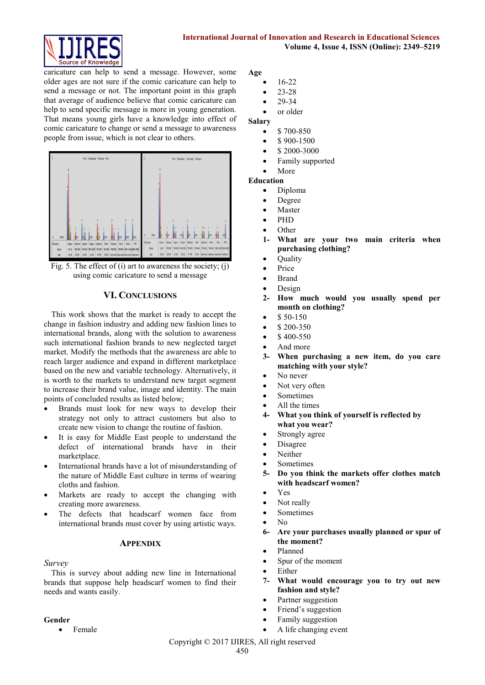

caricature can help to send a message. However, some older ages are not sure if the comic caricature can help to send a message or not. The important point in this graph that average of audience believe that comic caricature can help to send specific message is more in young generation. That means young girls have a knowledge into effect of comic caricature to change or send a message to awareness people from issue, which is not clear to others.



Fig. 5. The effect of (i) art to awareness the society; (j) using comic caricature to send a message

# **VI. CONCLUSIONS**

This work shows that the market is ready to accept the change in fashion industry and adding new fashion lines to international brands, along with the solution to awareness such international fashion brands to new neglected target market. Modify the methods that the awareness are able to reach larger audience and expand in different marketplace based on the new and variable technology. Alternatively, it is worth to the markets to understand new target segment to increase their brand value, image and identity. The main points of concluded results as listed below;

- Brands must look for new ways to develop their strategy not only to attract customers but also to create new vision to change the routine of fashion.
- It is easy for Middle East people to understand the defect of international brands have in their marketplace.
- International brands have a lot of misunderstanding of the nature of Middle East culture in terms of wearing cloths and fashion.
- Markets are ready to accept the changing with creating more awareness.
- The defects that headscarf women face from international brands must cover by using artistic ways.

#### **APPENDIX**

*Survey*

This is survey about adding new line in International brands that suppose help headscarf women to find their needs and wants easily.

#### **Gender**

• Female

**Age**

- 16-22
- 23-28 29-34
- or older

# **Salary**

- \$ 700-850
- \$ 900-1500
- \$ 2000-3000
- Family supported
- More

#### **Education**

- Diploma
- Degree
- Master
- PHD
- **Other**
- **1- What are your two main criteria when purchasing clothing?**
- **Ouality**
- Price
- Brand
- Design
- **2- How much would you usually spend per month on clothing?**
- \$ 50-150
- \$ 200-350
- \$ 400-550
- And more
- **3- When purchasing a new item, do you care matching with your style?**
- No never
- Not very often
- Sometimes
- All the times
- **4- What you think of yourself is reflected by what you wear?**
- Strongly agree
- Disagree
- Neither
- Sometimes
- **5- Do you think the markets offer clothes match with headscarf women?**
- Yes
- Not really
- Sometimes
- No
- **6- Are your purchases usually planned or spur of the moment?**
- Planned
- Spur of the moment
- Either
- **7- What would encourage you to try out new fashion and style?**
- Partner suggestion
- Friend's suggestion
- Family suggestion
- A life changing event